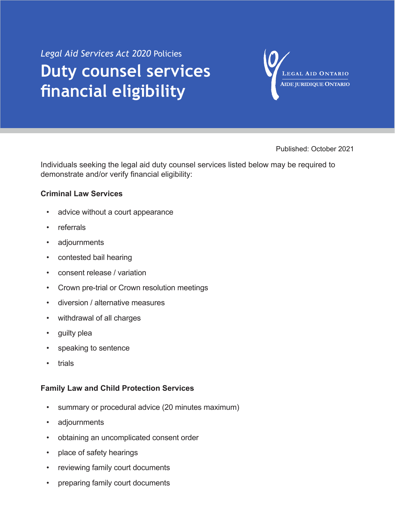## *Legal Aid Services Act 2020* Policies **Duty counsel services financial eligibility**

LEGAL AID ONTARIO AIDE JURIDIQUE ONTARIO

Published: October 2021

Individuals seeking the legal aid duty counsel services listed below may be required to demonstrate and/or verify financial eligibility:

## **Criminal Law Services**

- advice without a court appearance
- referrals
- adjournments
- contested bail hearing
- consent release / variation
- Crown pre-trial or Crown resolution meetings
- diversion / alternative measures
- withdrawal of all charges
- guilty plea
- speaking to sentence
- **trials**

## **Family Law and Child Protection Services**

- summary or procedural advice (20 minutes maximum)
- adjournments
- obtaining an uncomplicated consent order
- place of safety hearings
- reviewing family court documents
- preparing family court documents